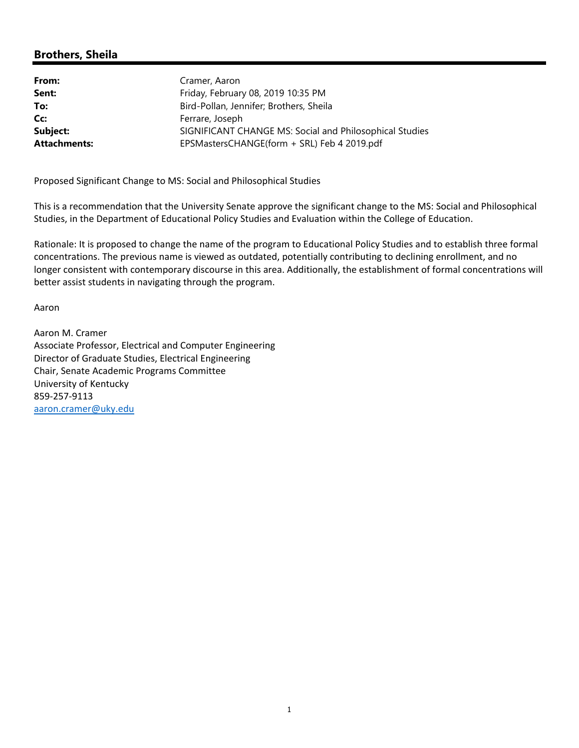## **Brothers, Sheila**

| From:               | Cramer, Aaron                                           |
|---------------------|---------------------------------------------------------|
| Sent:               | Friday, February 08, 2019 10:35 PM                      |
| To:                 | Bird-Pollan, Jennifer; Brothers, Sheila                 |
| Cc:                 | Ferrare, Joseph                                         |
| Subject:            | SIGNIFICANT CHANGE MS: Social and Philosophical Studies |
| <b>Attachments:</b> | EPSMastersCHANGE(form + SRL) Feb 4 2019.pdf             |

Proposed Significant Change to MS: Social and Philosophical Studies

This is a recommendation that the University Senate approve the significant change to the MS: Social and Philosophical Studies, in the Department of Educational Policy Studies and Evaluation within the College of Education.

Rationale: It is proposed to change the name of the program to Educational Policy Studies and to establish three formal concentrations. The previous name is viewed as outdated, potentially contributing to declining enrollment, and no longer consistent with contemporary discourse in this area. Additionally, the establishment of formal concentrations will better assist students in navigating through the program.

Aaron

Aaron M. Cramer Associate Professor, Electrical and Computer Engineering Director of Graduate Studies, Electrical Engineering Chair, Senate Academic Programs Committee University of Kentucky 859‐257‐9113 aaron.cramer@uky.edu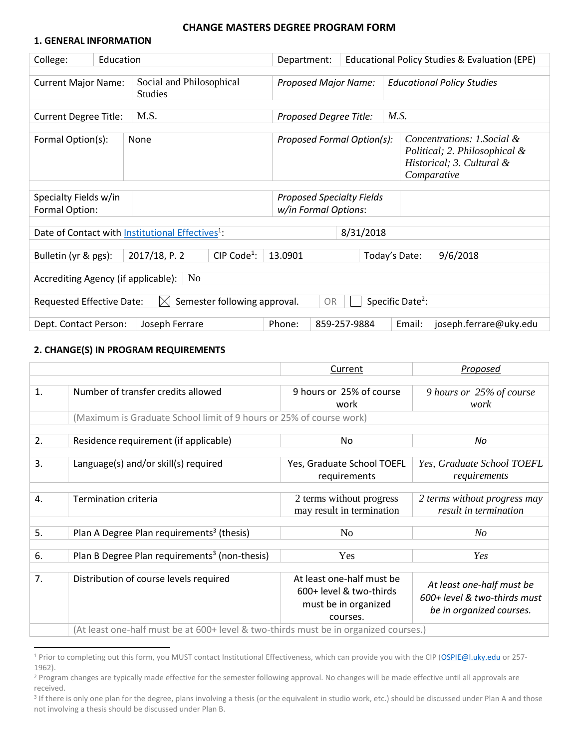#### **CHANGE MASTERS DEGREE PROGRAM FORM**

#### **1. GENERAL INFORMATION**

| College:                                                                                                                                                            | Education                                                                                                |                                                              | Department:                 |  | Educational Policy Studies & Evaluation (EPE) |                                   |  |  |
|---------------------------------------------------------------------------------------------------------------------------------------------------------------------|----------------------------------------------------------------------------------------------------------|--------------------------------------------------------------|-----------------------------|--|-----------------------------------------------|-----------------------------------|--|--|
| Social and Philosophical<br><b>Current Major Name:</b><br><b>Studies</b>                                                                                            |                                                                                                          |                                                              | <b>Proposed Major Name:</b> |  |                                               | <b>Educational Policy Studies</b> |  |  |
| M.S.<br>M.S.<br><b>Current Degree Title:</b><br>Proposed Degree Title:                                                                                              |                                                                                                          |                                                              |                             |  |                                               |                                   |  |  |
| Concentrations: 1. Social &<br>Formal Option(s):<br>Proposed Formal Option(s):<br>None<br>Political; 2. Philosophical &<br>Historical; 3. Cultural &<br>Comparative |                                                                                                          |                                                              |                             |  |                                               |                                   |  |  |
| Specialty Fields w/in<br>Formal Option:                                                                                                                             |                                                                                                          | <b>Proposed Specialty Fields</b><br>w/in Formal Options:     |                             |  |                                               |                                   |  |  |
|                                                                                                                                                                     |                                                                                                          | Date of Contact with Institutional Effectives <sup>1</sup> : |                             |  |                                               | 8/31/2018                         |  |  |
|                                                                                                                                                                     | 2017/18, P. 2<br>CIP Code <sup>1</sup> :<br>Bulletin (yr & pgs):<br>Today's Date:<br>9/6/2018<br>13.0901 |                                                              |                             |  |                                               |                                   |  |  |
| N <sub>0</sub><br>Accrediting Agency (if applicable):                                                                                                               |                                                                                                          |                                                              |                             |  |                                               |                                   |  |  |
| Specific Date <sup>2</sup> :<br>Semester following approval.<br>Requested Effective Date:<br>IХI<br>OR                                                              |                                                                                                          |                                                              |                             |  |                                               |                                   |  |  |
|                                                                                                                                                                     | Phone:<br>859-257-9884<br>Email:<br>joseph.ferrare@uky.edu<br>Dept. Contact Person:<br>Joseph Ferrare    |                                                              |                             |  |                                               |                                   |  |  |

#### **2. CHANGE(S) IN PROGRAM REQUIREMENTS**

|                |                                                                                      | Current                    | Proposed                     |
|----------------|--------------------------------------------------------------------------------------|----------------------------|------------------------------|
|                |                                                                                      |                            |                              |
| $\mathbf{1}$ . | Number of transfer credits allowed                                                   | 9 hours or 25% of course   | 9 hours or 25% of course     |
|                |                                                                                      | work                       | work                         |
|                | (Maximum is Graduate School limit of 9 hours or 25% of course work)                  |                            |                              |
|                |                                                                                      |                            |                              |
| 2.             | Residence requirement (if applicable)                                                | No                         | No                           |
|                |                                                                                      |                            |                              |
| 3.             | Language(s) and/or skill(s) required                                                 | Yes, Graduate School TOEFL | Yes, Graduate School TOEFL   |
|                |                                                                                      | requirements               | requirements                 |
|                |                                                                                      |                            |                              |
| 4.             | <b>Termination criteria</b>                                                          | 2 terms without progress   | 2 terms without progress may |
|                |                                                                                      | may result in termination  | result in termination        |
|                |                                                                                      |                            |                              |
| 5.             | Plan A Degree Plan requirements <sup>3</sup> (thesis)                                | N <sub>0</sub>             | $N_{O}$                      |
|                |                                                                                      |                            |                              |
| 6.             | Plan B Degree Plan requirements <sup>3</sup> (non-thesis)                            | Yes                        | Yes                          |
|                |                                                                                      |                            |                              |
| 7.             | Distribution of course levels required                                               | At least one-half must be  |                              |
|                |                                                                                      | 600+ level & two-thirds    | At least one-half must be    |
|                |                                                                                      | must be in organized       | 600+ level & two-thirds must |
|                |                                                                                      | courses.                   | be in organized courses.     |
|                | (At least one-half must be at 600+ level & two-thirds must be in organized courses.) |                            |                              |

<sup>&</sup>lt;sup>1</sup> Prior to completing out this form, you MUST contact Institutional Effectiveness, which can provide you with the CIP [\(OSPIE@l.uky.edu](mailto:OSPIE@l.uky.edu) or 257-1962).

<sup>&</sup>lt;sup>2</sup> Program changes are typically made effective for the semester following approval. No changes will be made effective until all approvals are received.

<sup>&</sup>lt;sup>3</sup> If there is only one plan for the degree, plans involving a thesis (or the equivalent in studio work, etc.) should be discussed under Plan A and those not involving a thesis should be discussed under Plan B.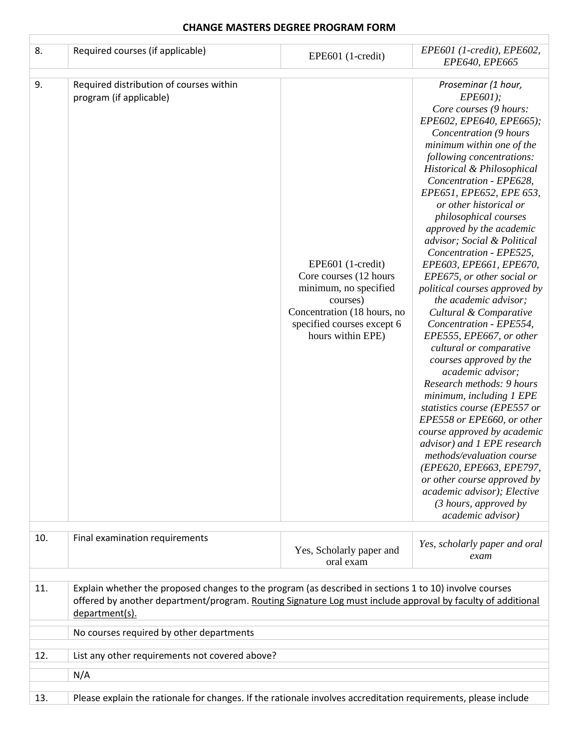### **CHANGE MASTERS DEGREE PROGRAM FORM**

 $\Gamma$ 

| 8.  | Required courses (if applicable)                                                                                                                                                                                                        | EPE601 (1-credit)                                                                                                                                                  | EPE601 (1-credit), EPE602,<br>EPE640, EPE665                                                                                                                                                                                                                                                                                                                                                                                                                                                                                                                                                                                                                                                                                                                                                                                                                                                                                                                                                                                                       |  |  |
|-----|-----------------------------------------------------------------------------------------------------------------------------------------------------------------------------------------------------------------------------------------|--------------------------------------------------------------------------------------------------------------------------------------------------------------------|----------------------------------------------------------------------------------------------------------------------------------------------------------------------------------------------------------------------------------------------------------------------------------------------------------------------------------------------------------------------------------------------------------------------------------------------------------------------------------------------------------------------------------------------------------------------------------------------------------------------------------------------------------------------------------------------------------------------------------------------------------------------------------------------------------------------------------------------------------------------------------------------------------------------------------------------------------------------------------------------------------------------------------------------------|--|--|
| 9.  | Required distribution of courses within<br>program (if applicable)                                                                                                                                                                      | EPE601 (1-credit)<br>Core courses (12 hours<br>minimum, no specified<br>courses)<br>Concentration (18 hours, no<br>specified courses except 6<br>hours within EPE) | Proseminar (1 hour,<br>EPE601);<br>Core courses (9 hours:<br>EPE602, EPE640, EPE665);<br>Concentration (9 hours<br>minimum within one of the<br>following concentrations:<br>Historical & Philosophical<br>Concentration - EPE628,<br>EPE651, EPE652, EPE 653,<br>or other historical or<br>philosophical courses<br>approved by the academic<br>advisor; Social & Political<br>Concentration - EPE525,<br>EPE603, EPE661, EPE670,<br>EPE675, or other social or<br>political courses approved by<br>the academic advisor;<br>Cultural & Comparative<br>Concentration - EPE554,<br>EPE555, EPE667, or other<br>cultural or comparative<br>courses approved by the<br>academic advisor;<br>Research methods: 9 hours<br>minimum, including 1 EPE<br>statistics course (EPE557 or<br>EPE558 or EPE660, or other<br>course approved by academic<br>advisor) and 1 EPE research<br>methods/evaluation course<br>(EPE620, EPE663, EPE797,<br>or other course approved by<br>academic advisor); Elective<br>$(3$ hours, approved by<br>academic advisor) |  |  |
| 10. | Final examination requirements                                                                                                                                                                                                          | Yes, Scholarly paper and<br>oral exam                                                                                                                              | Yes, scholarly paper and oral<br>exam                                                                                                                                                                                                                                                                                                                                                                                                                                                                                                                                                                                                                                                                                                                                                                                                                                                                                                                                                                                                              |  |  |
| 11. | Explain whether the proposed changes to the program (as described in sections 1 to 10) involve courses<br>offered by another department/program. Routing Signature Log must include approval by faculty of additional<br>department(s). |                                                                                                                                                                    |                                                                                                                                                                                                                                                                                                                                                                                                                                                                                                                                                                                                                                                                                                                                                                                                                                                                                                                                                                                                                                                    |  |  |
|     | No courses required by other departments                                                                                                                                                                                                |                                                                                                                                                                    |                                                                                                                                                                                                                                                                                                                                                                                                                                                                                                                                                                                                                                                                                                                                                                                                                                                                                                                                                                                                                                                    |  |  |
| 12. | List any other requirements not covered above?                                                                                                                                                                                          |                                                                                                                                                                    |                                                                                                                                                                                                                                                                                                                                                                                                                                                                                                                                                                                                                                                                                                                                                                                                                                                                                                                                                                                                                                                    |  |  |
|     | N/A                                                                                                                                                                                                                                     |                                                                                                                                                                    |                                                                                                                                                                                                                                                                                                                                                                                                                                                                                                                                                                                                                                                                                                                                                                                                                                                                                                                                                                                                                                                    |  |  |
|     |                                                                                                                                                                                                                                         |                                                                                                                                                                    |                                                                                                                                                                                                                                                                                                                                                                                                                                                                                                                                                                                                                                                                                                                                                                                                                                                                                                                                                                                                                                                    |  |  |
| 13. | Please explain the rationale for changes. If the rationale involves accreditation requirements, please include                                                                                                                          |                                                                                                                                                                    |                                                                                                                                                                                                                                                                                                                                                                                                                                                                                                                                                                                                                                                                                                                                                                                                                                                                                                                                                                                                                                                    |  |  |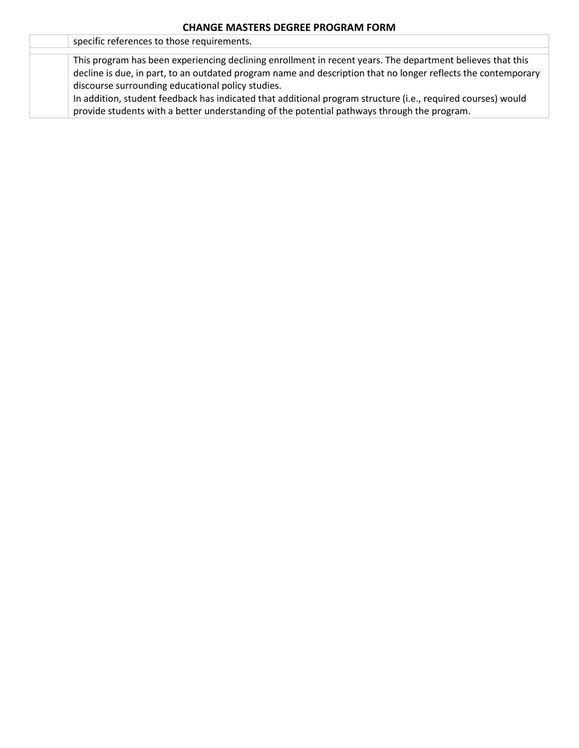| specific references to those requirements.                                                                    |
|---------------------------------------------------------------------------------------------------------------|
|                                                                                                               |
| This program has been experiencing declining enrollment in recent years. The department believes that this    |
| decline is due, in part, to an outdated program name and description that no longer reflects the contemporary |
| discourse surrounding educational policy studies.                                                             |
| In addition, student feedback has indicated that additional program structure (i.e., required courses) would  |
| provide students with a better understanding of the potential pathways through the program.                   |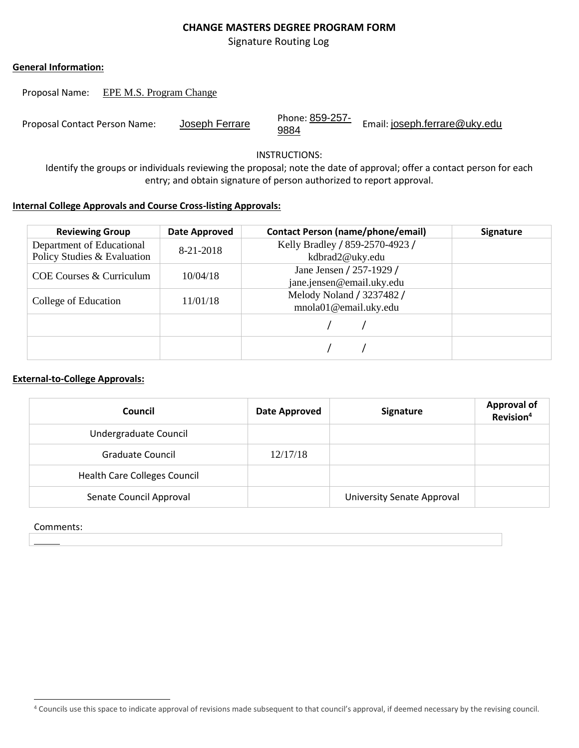## **CHANGE MASTERS DEGREE PROGRAM FORM**

Signature Routing Log

#### **General Information:**

Proposal Name: EPE M.S. Program Change

| Proposal Contact Person Name: | Joseph Ferrare | Phone: 859-257-<br>9884 | Email: joseph.ferrare@uky.edu |
|-------------------------------|----------------|-------------------------|-------------------------------|
|-------------------------------|----------------|-------------------------|-------------------------------|

INSTRUCTIONS:

Identify the groups or individuals reviewing the proposal; note the date of approval; offer a contact person for each entry; and obtain signature of person authorized to report approval.

#### **Internal College Approvals and Course Cross-listing Approvals:**

| <b>Reviewing Group</b>      | Date Approved | <b>Contact Person (name/phone/email)</b> | <b>Signature</b> |
|-----------------------------|---------------|------------------------------------------|------------------|
| Department of Educational   | 8-21-2018     | Kelly Bradley / 859-2570-4923 /          |                  |
| Policy Studies & Evaluation |               | kdbrad2@uky.edu                          |                  |
| COE Courses & Curriculum    | 10/04/18      | Jane Jensen / 257-1929 /                 |                  |
|                             |               | jane.jensen@email.uky.edu                |                  |
| College of Education        | 11/01/18      | Melody Noland / 3237482 /                |                  |
|                             |               | mnola01@email.uky.edu                    |                  |
|                             |               |                                          |                  |
|                             |               |                                          |                  |

## **External-to-College Approvals:**

| Council                             | <b>Date Approved</b> | Signature                  | <b>Approval of</b><br>Revision <sup>4</sup> |
|-------------------------------------|----------------------|----------------------------|---------------------------------------------|
| Undergraduate Council               |                      |                            |                                             |
| <b>Graduate Council</b>             | 12/17/18             |                            |                                             |
| <b>Health Care Colleges Council</b> |                      |                            |                                             |
| Senate Council Approval             |                      | University Senate Approval |                                             |

#### Comments:

 $\overline{a}$ 

<sup>4</sup> Councils use this space to indicate approval of revisions made subsequent to that council's approval, if deemed necessary by the revising council.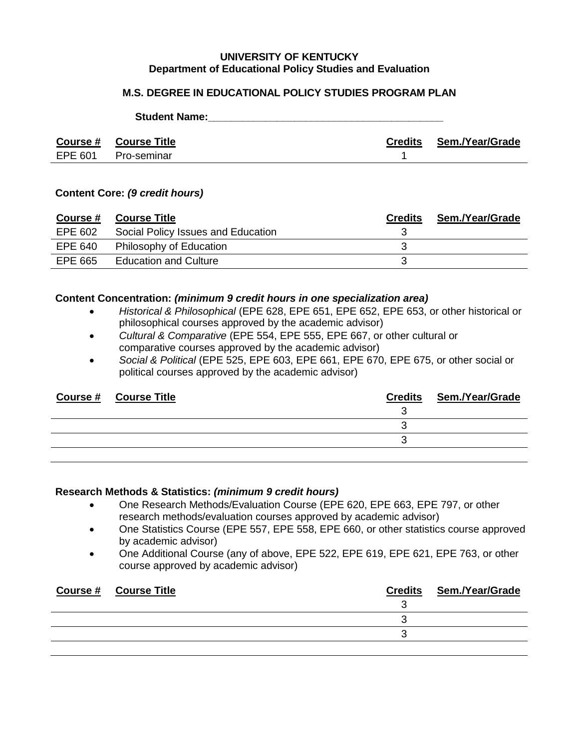#### **UNIVERSITY OF KENTUCKY Department of Educational Policy Studies and Evaluation**

### **M.S. DEGREE IN EDUCATIONAL POLICY STUDIES PROGRAM PLAN**

|         | <b>Course # Course Title</b> | Credits | Sem./Year/Grade |
|---------|------------------------------|---------|-----------------|
| EPE 601 | Pro-seminar                  |         |                 |

**Student Name: Name: Name: Name: Name: Name: Name: Name: Name: Name: Name: Name: Name: Name: Name: Name: Name: Name: Name: Name: Name: Name: Name: N** 

#### **Content Core:** *(9 credit hours)*

| <b>Course #</b> | <b>Course Title</b>                | <b>Credits</b> | Sem./Year/Grade |
|-----------------|------------------------------------|----------------|-----------------|
| EPE 602         | Social Policy Issues and Education |                |                 |
| EPE 640         | Philosophy of Education            |                |                 |
| EPE 665         | <b>Education and Culture</b>       |                |                 |

#### **Content Concentration:** *(minimum 9 credit hours in one specialization area)*

- *Historical & Philosophical* (EPE 628, EPE 651, EPE 652, EPE 653, or other historical or philosophical courses approved by the academic advisor)
- *Cultural & Comparative* (EPE 554, EPE 555, EPE 667, or other cultural or comparative courses approved by the academic advisor)
- *Social & Political* (EPE 525, EPE 603, EPE 661, EPE 670, EPE 675, or other social or political courses approved by the academic advisor)

| <b>Course # Course Title</b> | <b>Credits Sem./Year/Grade</b> |
|------------------------------|--------------------------------|
|                              |                                |
|                              |                                |
|                              |                                |
|                              |                                |

#### **Research Methods & Statistics:** *(minimum 9 credit hours)*

- One Research Methods/Evaluation Course (EPE 620, EPE 663, EPE 797, or other research methods/evaluation courses approved by academic advisor)
- One Statistics Course (EPE 557, EPE 558, EPE 660, or other statistics course approved by academic advisor)
- One Additional Course (any of above, EPE 522, EPE 619, EPE 621, EPE 763, or other course approved by academic advisor)

| Course # Course Title | <b>Credits Sem./Year/Grade</b> |
|-----------------------|--------------------------------|
|                       |                                |
|                       |                                |
|                       |                                |
|                       |                                |